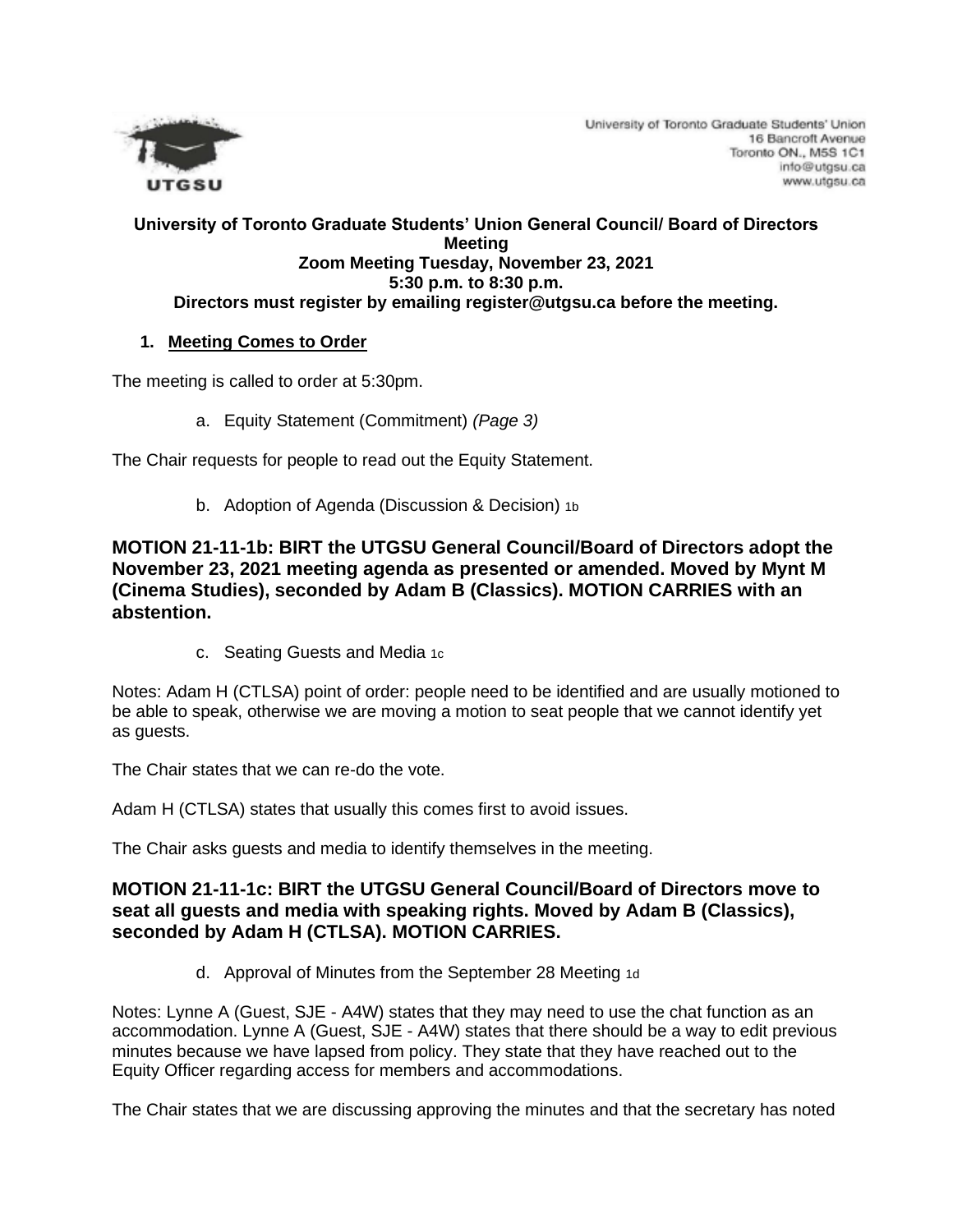

University of Toronto Graduate Students' Union 16 Bancroft Avenue Toronto ON., M5S 1C1 info@utgsu.ca www.utgsu.ca

#### **University of Toronto Graduate Students' Union General Council/ Board of Directors Meeting Zoom Meeting Tuesday, November 23, 2021 5:30 p.m. to 8:30 p.m. Directors must register by emailing register@utgsu.ca before the meeting.**

### **1. Meeting Comes to Order**

The meeting is called to order at 5:30pm.

a. Equity Statement (Commitment) *(Page 3)*

The Chair requests for people to read out the Equity Statement.

b. Adoption of Agenda (Discussion & Decision) 1b

**MOTION 21-11-1b: BIRT the UTGSU General Council/Board of Directors adopt the November 23, 2021 meeting agenda as presented or amended. Moved by Mynt M (Cinema Studies), seconded by Adam B (Classics). MOTION CARRIES with an abstention.**

c. Seating Guests and Media 1c

Notes: Adam H (CTLSA) point of order: people need to be identified and are usually motioned to be able to speak, otherwise we are moving a motion to seat people that we cannot identify yet as guests.

The Chair states that we can re-do the vote.

Adam H (CTLSA) states that usually this comes first to avoid issues.

The Chair asks guests and media to identify themselves in the meeting.

## **MOTION 21-11-1c: BIRT the UTGSU General Council/Board of Directors move to seat all guests and media with speaking rights. Moved by Adam B (Classics), seconded by Adam H (CTLSA). MOTION CARRIES.**

d. Approval of Minutes from the September 28 Meeting 1d

Notes: Lynne A (Guest, SJE - A4W) states that they may need to use the chat function as an accommodation. Lynne A (Guest, SJE - A4W) states that there should be a way to edit previous minutes because we have lapsed from policy. They state that they have reached out to the Equity Officer regarding access for members and accommodations.

The Chair states that we are discussing approving the minutes and that the secretary has noted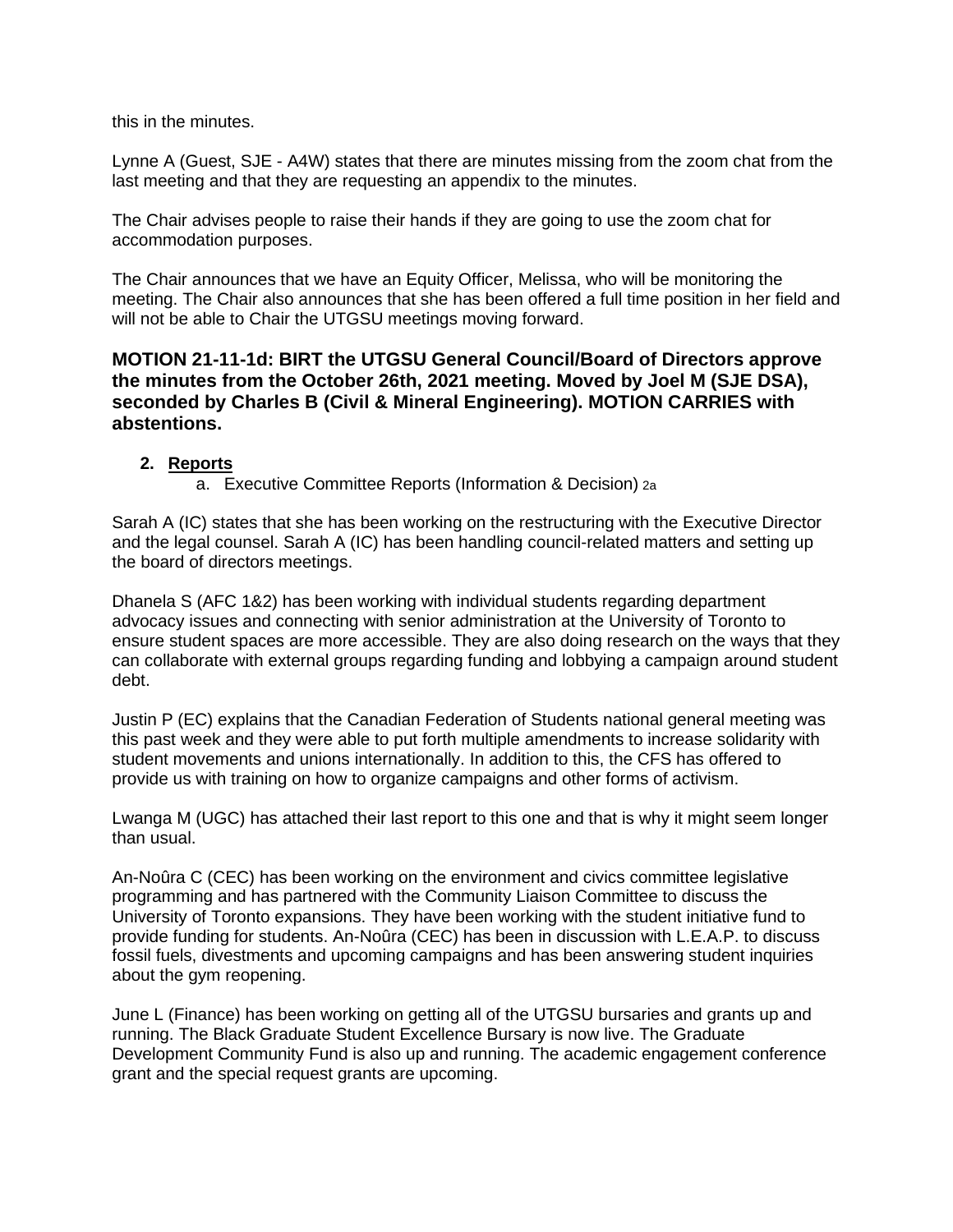this in the minutes.

Lynne A (Guest, SJE - A4W) states that there are minutes missing from the zoom chat from the last meeting and that they are requesting an appendix to the minutes.

The Chair advises people to raise their hands if they are going to use the zoom chat for accommodation purposes.

The Chair announces that we have an Equity Officer, Melissa, who will be monitoring the meeting. The Chair also announces that she has been offered a full time position in her field and will not be able to Chair the UTGSU meetings moving forward.

**MOTION 21-11-1d: BIRT the UTGSU General Council/Board of Directors approve the minutes from the October 26th, 2021 meeting. Moved by Joel M (SJE DSA), seconded by Charles B (Civil & Mineral Engineering). MOTION CARRIES with abstentions.**

### **2. Reports**

a. Executive Committee Reports (Information & Decision) 2a

Sarah A (IC) states that she has been working on the restructuring with the Executive Director and the legal counsel. Sarah A (IC) has been handling council-related matters and setting up the board of directors meetings.

Dhanela S (AFC 1&2) has been working with individual students regarding department advocacy issues and connecting with senior administration at the University of Toronto to ensure student spaces are more accessible. They are also doing research on the ways that they can collaborate with external groups regarding funding and lobbying a campaign around student debt.

Justin P (EC) explains that the Canadian Federation of Students national general meeting was this past week and they were able to put forth multiple amendments to increase solidarity with student movements and unions internationally. In addition to this, the CFS has offered to provide us with training on how to organize campaigns and other forms of activism.

Lwanga M (UGC) has attached their last report to this one and that is why it might seem longer than usual.

An-Noûra C (CEC) has been working on the environment and civics committee legislative programming and has partnered with the Community Liaison Committee to discuss the University of Toronto expansions. They have been working with the student initiative fund to provide funding for students. An-Noûra (CEC) has been in discussion with L.E.A.P. to discuss fossil fuels, divestments and upcoming campaigns and has been answering student inquiries about the gym reopening.

June L (Finance) has been working on getting all of the UTGSU bursaries and grants up and running. The Black Graduate Student Excellence Bursary is now live. The Graduate Development Community Fund is also up and running. The academic engagement conference grant and the special request grants are upcoming.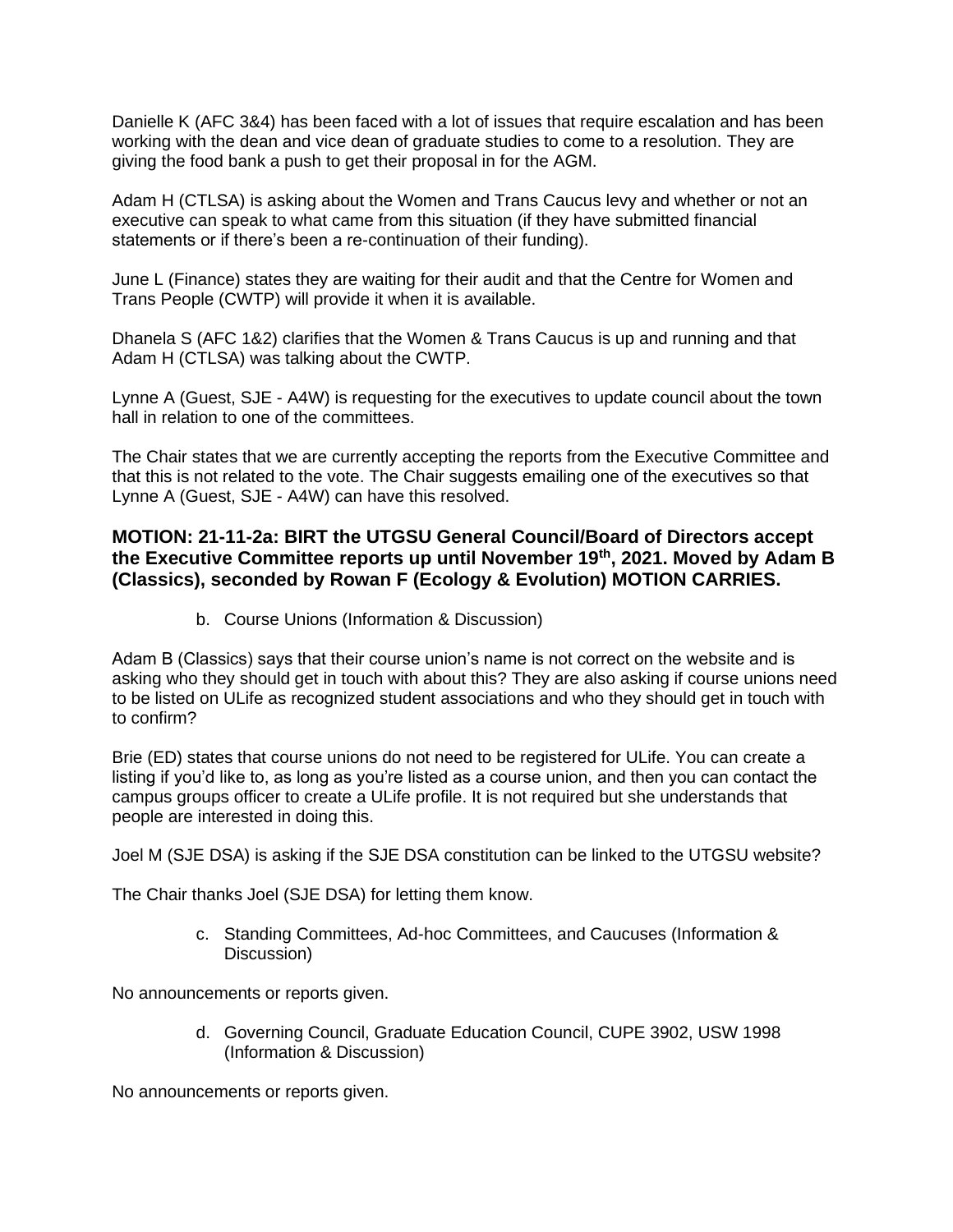Danielle K (AFC 3&4) has been faced with a lot of issues that require escalation and has been working with the dean and vice dean of graduate studies to come to a resolution. They are giving the food bank a push to get their proposal in for the AGM.

Adam H (CTLSA) is asking about the Women and Trans Caucus levy and whether or not an executive can speak to what came from this situation (if they have submitted financial statements or if there's been a re-continuation of their funding).

June L (Finance) states they are waiting for their audit and that the Centre for Women and Trans People (CWTP) will provide it when it is available.

Dhanela S (AFC 1&2) clarifies that the Women & Trans Caucus is up and running and that Adam H (CTLSA) was talking about the CWTP.

Lynne A (Guest, SJE - A4W) is requesting for the executives to update council about the town hall in relation to one of the committees.

The Chair states that we are currently accepting the reports from the Executive Committee and that this is not related to the vote. The Chair suggests emailing one of the executives so that Lynne A (Guest, SJE - A4W) can have this resolved.

## **MOTION: 21-11-2a: BIRT the UTGSU General Council/Board of Directors accept the Executive Committee reports up until November 19th, 2021. Moved by Adam B (Classics), seconded by Rowan F (Ecology & Evolution) MOTION CARRIES.**

b. Course Unions (Information & Discussion)

Adam B (Classics) says that their course union's name is not correct on the website and is asking who they should get in touch with about this? They are also asking if course unions need to be listed on ULife as recognized student associations and who they should get in touch with to confirm?

Brie (ED) states that course unions do not need to be registered for ULife. You can create a listing if you'd like to, as long as you're listed as a course union, and then you can contact the campus groups officer to create a ULife profile. It is not required but she understands that people are interested in doing this.

Joel M (SJE DSA) is asking if the SJE DSA constitution can be linked to the UTGSU website?

The Chair thanks Joel (SJE DSA) for letting them know.

c. Standing Committees, Ad-hoc Committees, and Caucuses (Information & Discussion)

No announcements or reports given.

d. Governing Council, Graduate Education Council, CUPE 3902, USW 1998 (Information & Discussion)

No announcements or reports given.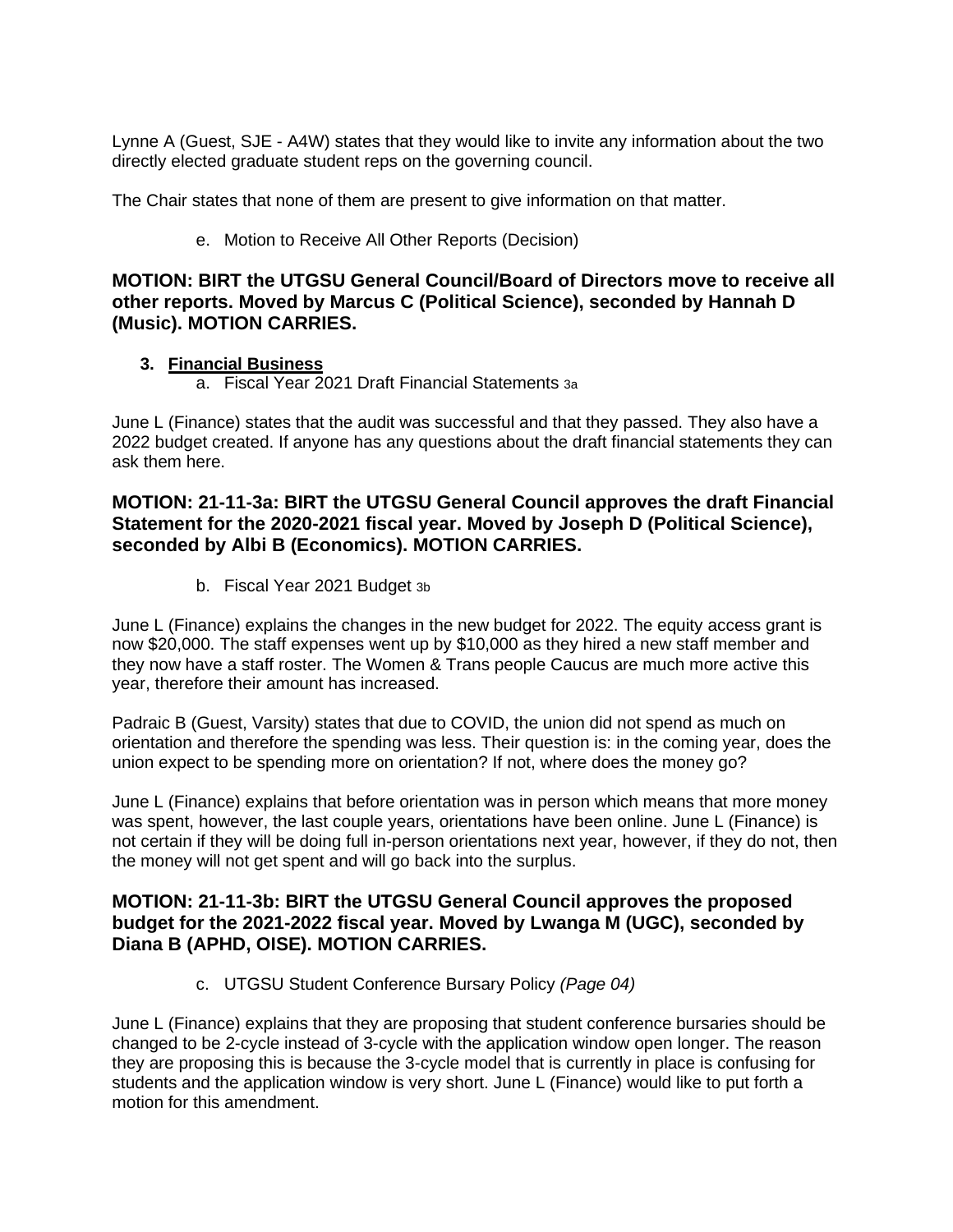Lynne A (Guest, SJE - A4W) states that they would like to invite any information about the two directly elected graduate student reps on the governing council.

The Chair states that none of them are present to give information on that matter.

e. Motion to Receive All Other Reports (Decision)

### **MOTION: BIRT the UTGSU General Council/Board of Directors move to receive all other reports. Moved by Marcus C (Political Science), seconded by Hannah D (Music). MOTION CARRIES.**

#### **3. Financial Business**

a. Fiscal Year 2021 Draft Financial Statements 3a

June L (Finance) states that the audit was successful and that they passed. They also have a 2022 budget created. If anyone has any questions about the draft financial statements they can ask them here.

## **MOTION: 21-11-3a: BIRT the UTGSU General Council approves the draft Financial Statement for the 2020-2021 fiscal year. Moved by Joseph D (Political Science), seconded by Albi B (Economics). MOTION CARRIES.**

b. Fiscal Year 2021 Budget 3b

June L (Finance) explains the changes in the new budget for 2022. The equity access grant is now \$20,000. The staff expenses went up by \$10,000 as they hired a new staff member and they now have a staff roster. The Women & Trans people Caucus are much more active this year, therefore their amount has increased.

Padraic B (Guest, Varsity) states that due to COVID, the union did not spend as much on orientation and therefore the spending was less. Their question is: in the coming year, does the union expect to be spending more on orientation? If not, where does the money go?

June L (Finance) explains that before orientation was in person which means that more money was spent, however, the last couple years, orientations have been online. June L (Finance) is not certain if they will be doing full in-person orientations next year, however, if they do not, then the money will not get spent and will go back into the surplus.

## **MOTION: 21-11-3b: BIRT the UTGSU General Council approves the proposed budget for the 2021-2022 fiscal year. Moved by Lwanga M (UGC), seconded by Diana B (APHD, OISE). MOTION CARRIES.**

c. UTGSU Student Conference Bursary Policy *(Page 04)*

June L (Finance) explains that they are proposing that student conference bursaries should be changed to be 2-cycle instead of 3-cycle with the application window open longer. The reason they are proposing this is because the 3-cycle model that is currently in place is confusing for students and the application window is very short. June L (Finance) would like to put forth a motion for this amendment.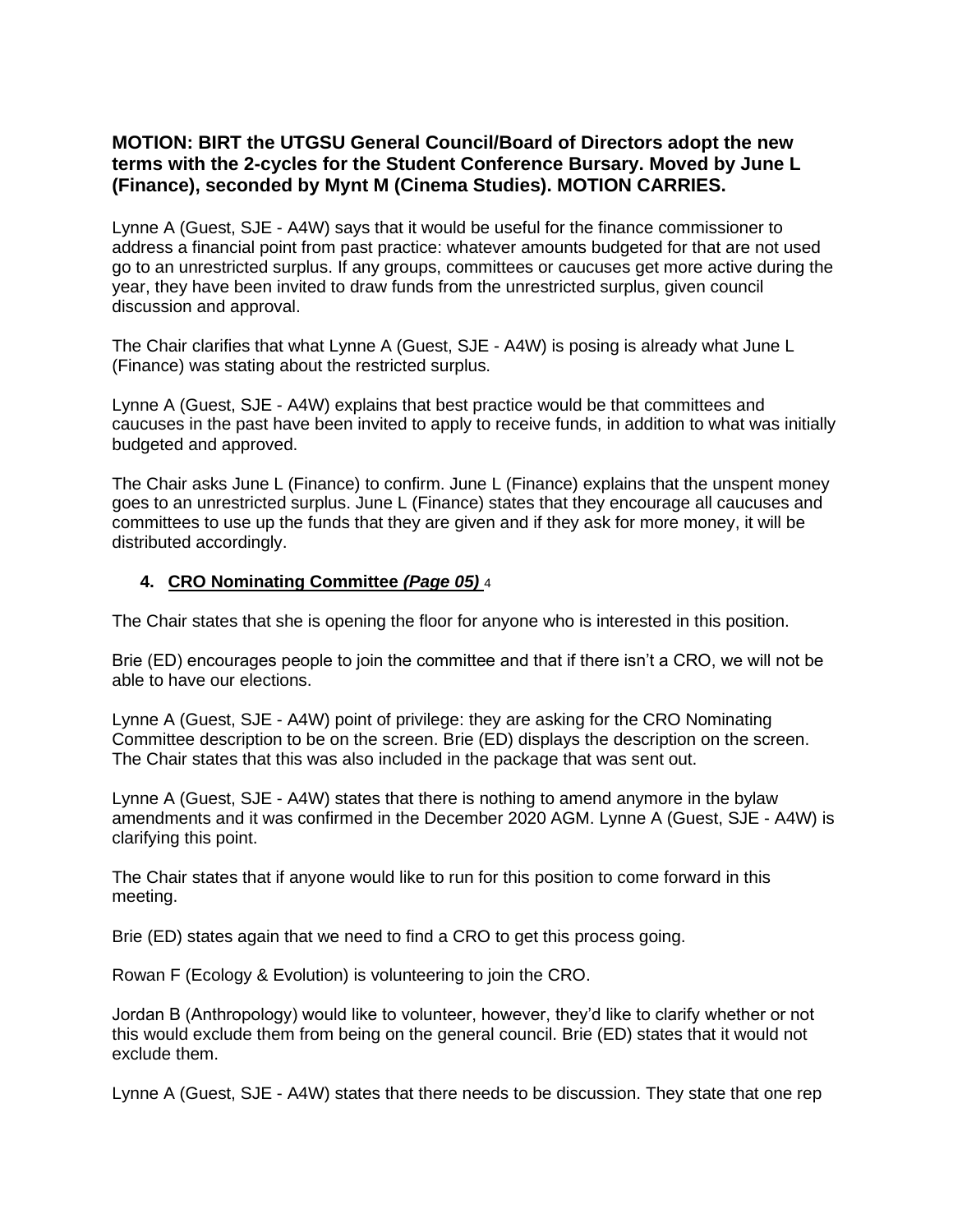# **MOTION: BIRT the UTGSU General Council/Board of Directors adopt the new terms with the 2-cycles for the Student Conference Bursary. Moved by June L (Finance), seconded by Mynt M (Cinema Studies). MOTION CARRIES.**

Lynne A (Guest, SJE - A4W) says that it would be useful for the finance commissioner to address a financial point from past practice: whatever amounts budgeted for that are not used go to an unrestricted surplus. If any groups, committees or caucuses get more active during the year, they have been invited to draw funds from the unrestricted surplus, given council discussion and approval.

The Chair clarifies that what Lynne A (Guest, SJE - A4W) is posing is already what June L (Finance) was stating about the restricted surplus.

Lynne A (Guest, SJE - A4W) explains that best practice would be that committees and caucuses in the past have been invited to apply to receive funds, in addition to what was initially budgeted and approved.

The Chair asks June L (Finance) to confirm. June L (Finance) explains that the unspent money goes to an unrestricted surplus. June L (Finance) states that they encourage all caucuses and committees to use up the funds that they are given and if they ask for more money, it will be distributed accordingly.

### **4. CRO Nominating Committee** *(Page 05)* 4

The Chair states that she is opening the floor for anyone who is interested in this position.

Brie (ED) encourages people to join the committee and that if there isn't a CRO, we will not be able to have our elections.

Lynne A (Guest, SJE - A4W) point of privilege: they are asking for the CRO Nominating Committee description to be on the screen. Brie (ED) displays the description on the screen. The Chair states that this was also included in the package that was sent out.

Lynne A (Guest, SJE - A4W) states that there is nothing to amend anymore in the bylaw amendments and it was confirmed in the December 2020 AGM. Lynne A (Guest, SJE - A4W) is clarifying this point.

The Chair states that if anyone would like to run for this position to come forward in this meeting.

Brie (ED) states again that we need to find a CRO to get this process going.

Rowan F (Ecology & Evolution) is volunteering to join the CRO.

Jordan B (Anthropology) would like to volunteer, however, they'd like to clarify whether or not this would exclude them from being on the general council. Brie (ED) states that it would not exclude them.

Lynne A (Guest, SJE - A4W) states that there needs to be discussion. They state that one rep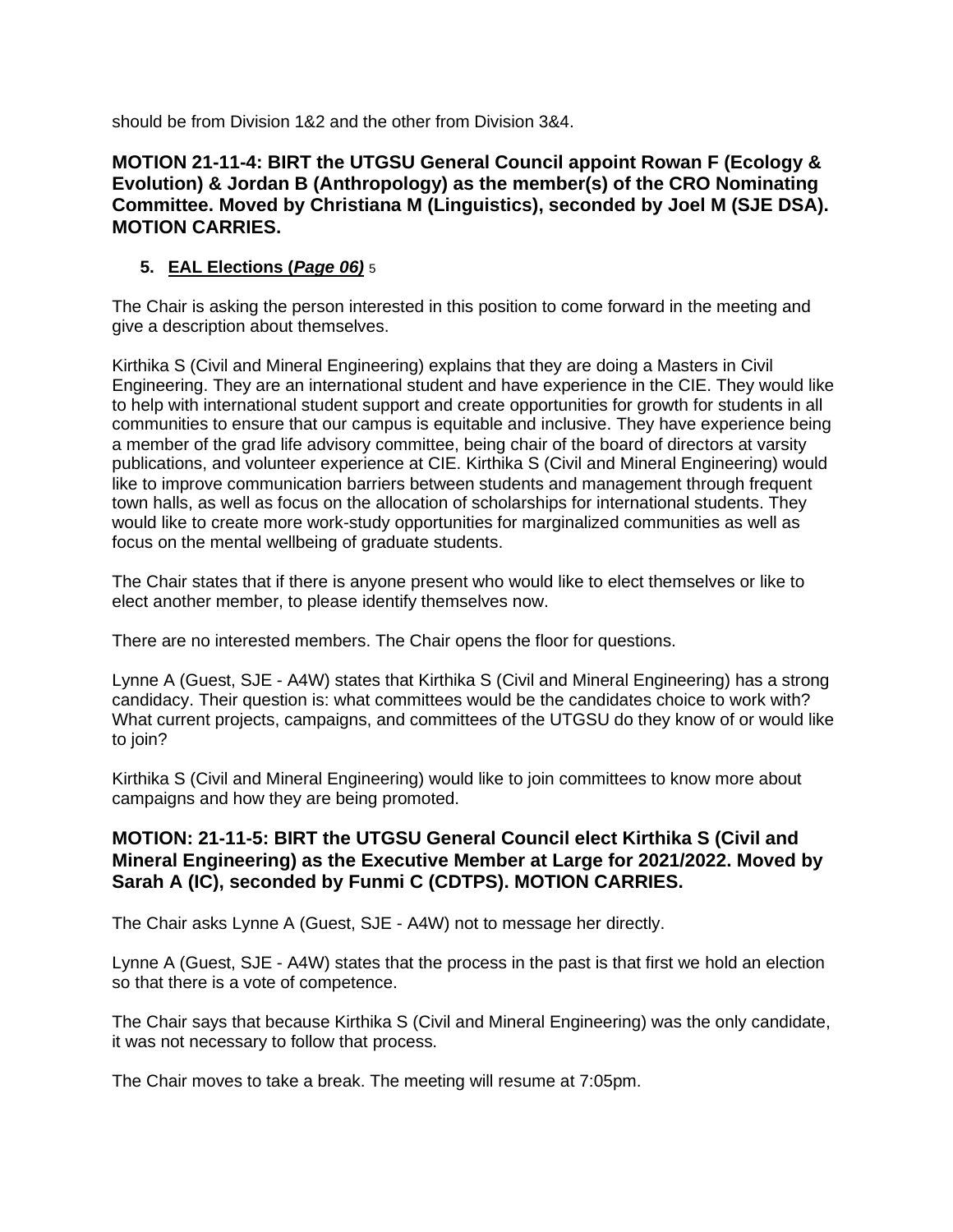should be from Division 1&2 and the other from Division 3&4.

# **MOTION 21-11-4: BIRT the UTGSU General Council appoint Rowan F (Ecology & Evolution) & Jordan B (Anthropology) as the member(s) of the CRO Nominating Committee. Moved by Christiana M (Linguistics), seconded by Joel M (SJE DSA). MOTION CARRIES.**

# **5. EAL Elections (***Page 06)* 5

The Chair is asking the person interested in this position to come forward in the meeting and give a description about themselves.

Kirthika S (Civil and Mineral Engineering) explains that they are doing a Masters in Civil Engineering. They are an international student and have experience in the CIE. They would like to help with international student support and create opportunities for growth for students in all communities to ensure that our campus is equitable and inclusive. They have experience being a member of the grad life advisory committee, being chair of the board of directors at varsity publications, and volunteer experience at CIE. Kirthika S (Civil and Mineral Engineering) would like to improve communication barriers between students and management through frequent town halls, as well as focus on the allocation of scholarships for international students. They would like to create more work-study opportunities for marginalized communities as well as focus on the mental wellbeing of graduate students.

The Chair states that if there is anyone present who would like to elect themselves or like to elect another member, to please identify themselves now.

There are no interested members. The Chair opens the floor for questions.

Lynne A (Guest, SJE - A4W) states that Kirthika S (Civil and Mineral Engineering) has a strong candidacy. Their question is: what committees would be the candidates choice to work with? What current projects, campaigns, and committees of the UTGSU do they know of or would like to join?

Kirthika S (Civil and Mineral Engineering) would like to join committees to know more about campaigns and how they are being promoted.

## **MOTION: 21-11-5: BIRT the UTGSU General Council elect Kirthika S (Civil and Mineral Engineering) as the Executive Member at Large for 2021/2022. Moved by Sarah A (IC), seconded by Funmi C (CDTPS). MOTION CARRIES.**

The Chair asks Lynne A (Guest, SJE - A4W) not to message her directly.

Lynne A (Guest, SJE - A4W) states that the process in the past is that first we hold an election so that there is a vote of competence.

The Chair says that because Kirthika S (Civil and Mineral Engineering) was the only candidate, it was not necessary to follow that process.

The Chair moves to take a break. The meeting will resume at 7:05pm.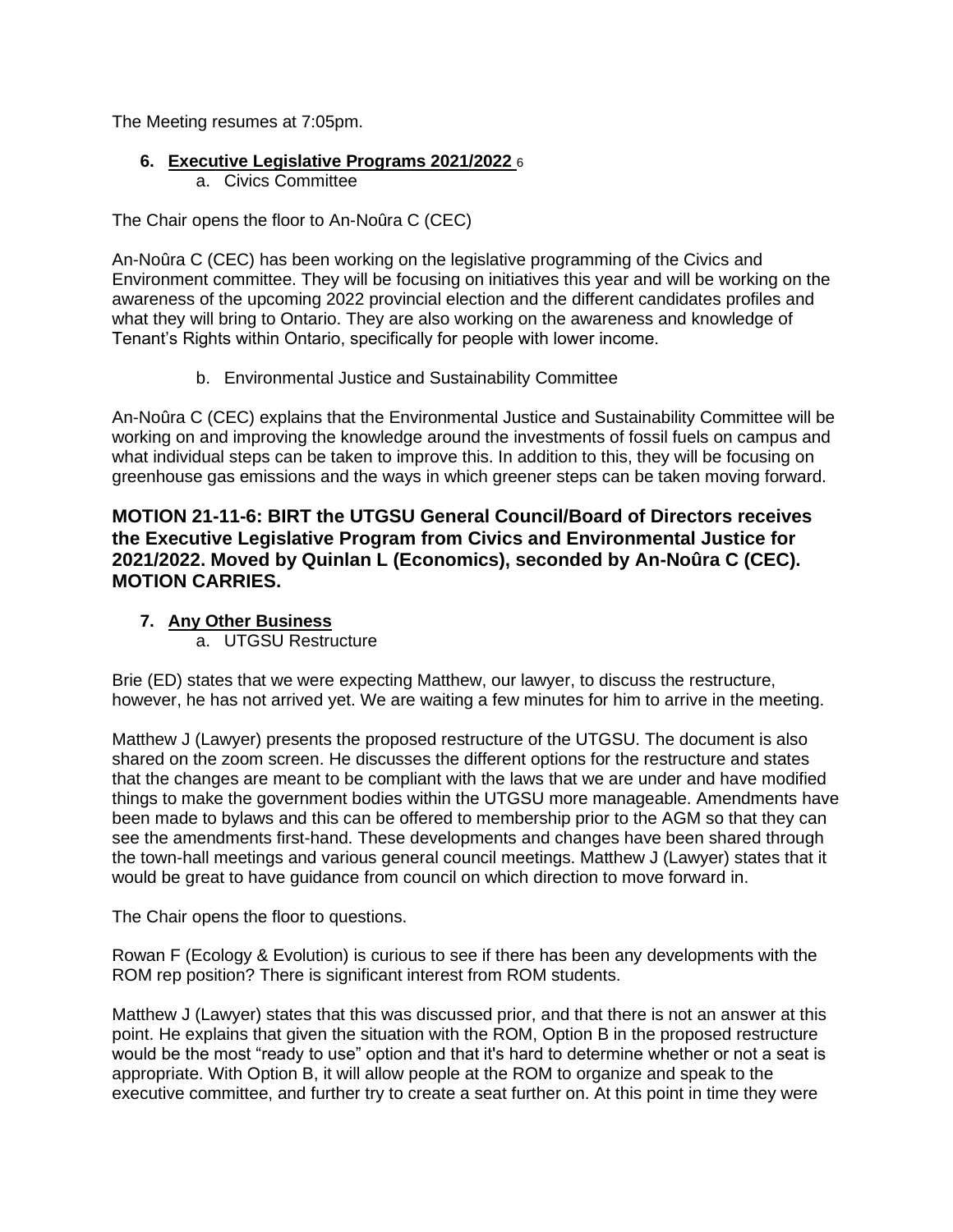The Meeting resumes at 7:05pm.

### **6. Executive Legislative Programs 2021/2022** 6

a. Civics Committee

The Chair opens the floor to An-Noûra C (CEC)

An-Noûra C (CEC) has been working on the legislative programming of the Civics and Environment committee. They will be focusing on initiatives this year and will be working on the awareness of the upcoming 2022 provincial election and the different candidates profiles and what they will bring to Ontario. They are also working on the awareness and knowledge of Tenant's Rights within Ontario, specifically for people with lower income.

b. Environmental Justice and Sustainability Committee

An-Noûra C (CEC) explains that the Environmental Justice and Sustainability Committee will be working on and improving the knowledge around the investments of fossil fuels on campus and what individual steps can be taken to improve this. In addition to this, they will be focusing on greenhouse gas emissions and the ways in which greener steps can be taken moving forward.

## **MOTION 21-11-6: BIRT the UTGSU General Council/Board of Directors receives the Executive Legislative Program from Civics and Environmental Justice for 2021/2022. Moved by Quinlan L (Economics), seconded by An-Noûra C (CEC). MOTION CARRIES.**

## **7. Any Other Business**

a. UTGSU Restructure

Brie (ED) states that we were expecting Matthew, our lawyer, to discuss the restructure, however, he has not arrived yet. We are waiting a few minutes for him to arrive in the meeting.

Matthew J (Lawyer) presents the proposed restructure of the UTGSU. The document is also shared on the zoom screen. He discusses the different options for the restructure and states that the changes are meant to be compliant with the laws that we are under and have modified things to make the government bodies within the UTGSU more manageable. Amendments have been made to bylaws and this can be offered to membership prior to the AGM so that they can see the amendments first-hand. These developments and changes have been shared through the town-hall meetings and various general council meetings. Matthew J (Lawyer) states that it would be great to have guidance from council on which direction to move forward in.

The Chair opens the floor to questions.

Rowan F (Ecology & Evolution) is curious to see if there has been any developments with the ROM rep position? There is significant interest from ROM students.

Matthew J (Lawyer) states that this was discussed prior, and that there is not an answer at this point. He explains that given the situation with the ROM, Option B in the proposed restructure would be the most "ready to use" option and that it's hard to determine whether or not a seat is appropriate. With Option B, it will allow people at the ROM to organize and speak to the executive committee, and further try to create a seat further on. At this point in time they were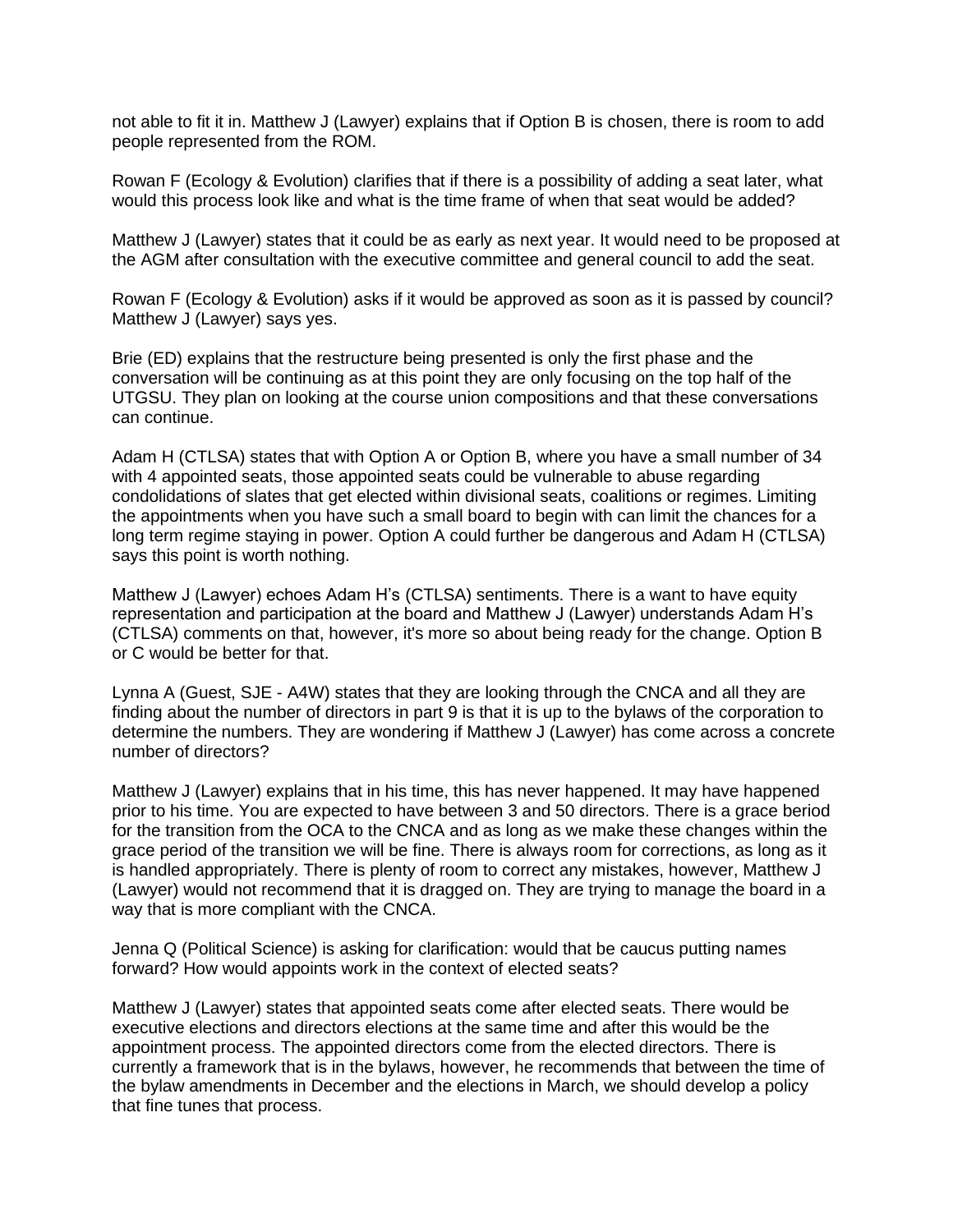not able to fit it in. Matthew J (Lawyer) explains that if Option B is chosen, there is room to add people represented from the ROM.

Rowan F (Ecology & Evolution) clarifies that if there is a possibility of adding a seat later, what would this process look like and what is the time frame of when that seat would be added?

Matthew J (Lawyer) states that it could be as early as next year. It would need to be proposed at the AGM after consultation with the executive committee and general council to add the seat.

Rowan F (Ecology & Evolution) asks if it would be approved as soon as it is passed by council? Matthew J (Lawyer) says yes.

Brie (ED) explains that the restructure being presented is only the first phase and the conversation will be continuing as at this point they are only focusing on the top half of the UTGSU. They plan on looking at the course union compositions and that these conversations can continue.

Adam H (CTLSA) states that with Option A or Option B, where you have a small number of 34 with 4 appointed seats, those appointed seats could be vulnerable to abuse regarding condolidations of slates that get elected within divisional seats, coalitions or regimes. Limiting the appointments when you have such a small board to begin with can limit the chances for a long term regime staying in power. Option A could further be dangerous and Adam H (CTLSA) says this point is worth nothing.

Matthew J (Lawyer) echoes Adam H's (CTLSA) sentiments. There is a want to have equity representation and participation at the board and Matthew J (Lawyer) understands Adam H's (CTLSA) comments on that, however, it's more so about being ready for the change. Option B or C would be better for that.

Lynna A (Guest, SJE - A4W) states that they are looking through the CNCA and all they are finding about the number of directors in part 9 is that it is up to the bylaws of the corporation to determine the numbers. They are wondering if Matthew J (Lawyer) has come across a concrete number of directors?

Matthew J (Lawyer) explains that in his time, this has never happened. It may have happened prior to his time. You are expected to have between 3 and 50 directors. There is a grace beriod for the transition from the OCA to the CNCA and as long as we make these changes within the grace period of the transition we will be fine. There is always room for corrections, as long as it is handled appropriately. There is plenty of room to correct any mistakes, however, Matthew J (Lawyer) would not recommend that it is dragged on. They are trying to manage the board in a way that is more compliant with the CNCA.

Jenna Q (Political Science) is asking for clarification: would that be caucus putting names forward? How would appoints work in the context of elected seats?

Matthew J (Lawyer) states that appointed seats come after elected seats. There would be executive elections and directors elections at the same time and after this would be the appointment process. The appointed directors come from the elected directors. There is currently a framework that is in the bylaws, however, he recommends that between the time of the bylaw amendments in December and the elections in March, we should develop a policy that fine tunes that process.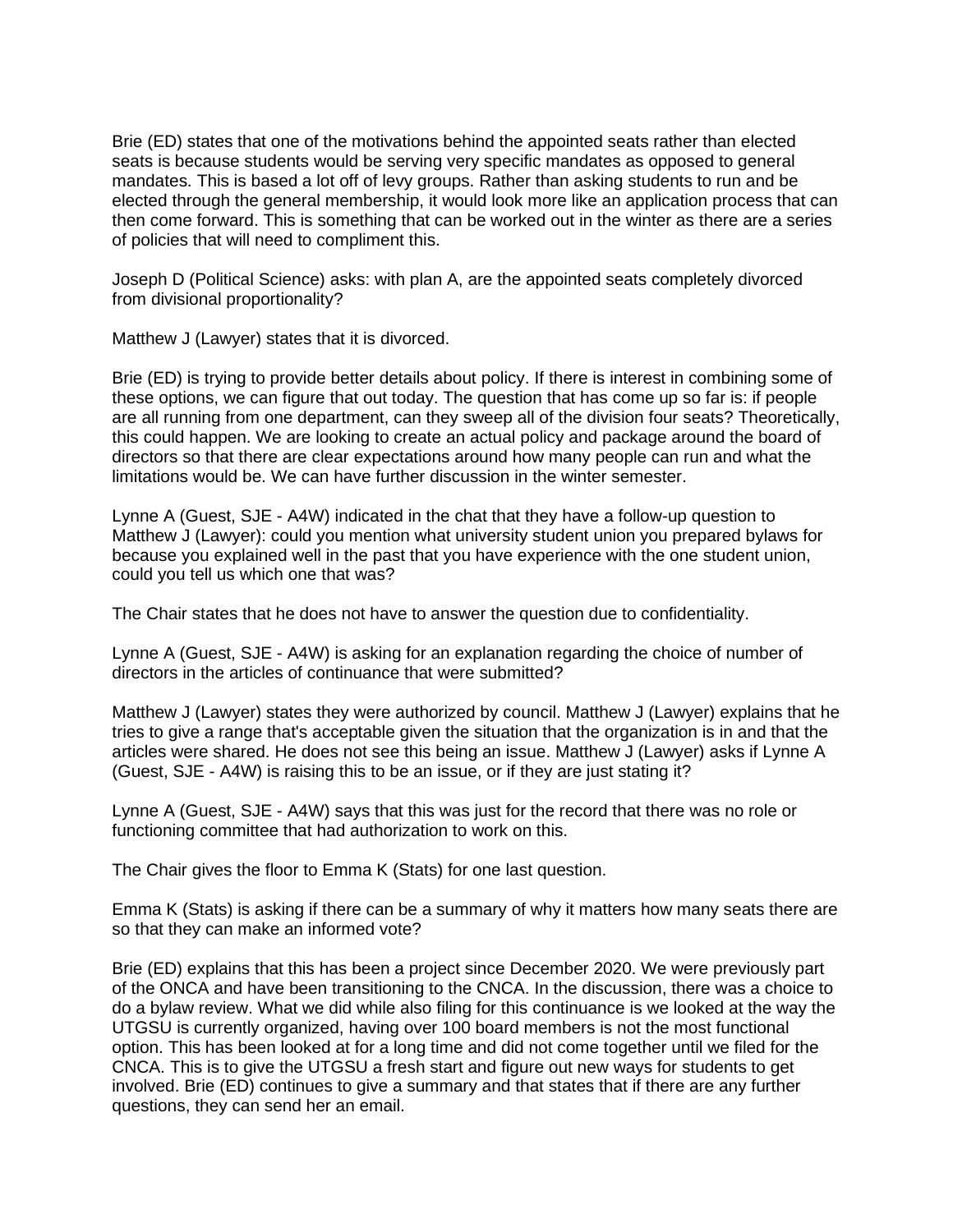Brie (ED) states that one of the motivations behind the appointed seats rather than elected seats is because students would be serving very specific mandates as opposed to general mandates. This is based a lot off of levy groups. Rather than asking students to run and be elected through the general membership, it would look more like an application process that can then come forward. This is something that can be worked out in the winter as there are a series of policies that will need to compliment this.

Joseph D (Political Science) asks: with plan A, are the appointed seats completely divorced from divisional proportionality?

Matthew J (Lawyer) states that it is divorced.

Brie (ED) is trying to provide better details about policy. If there is interest in combining some of these options, we can figure that out today. The question that has come up so far is: if people are all running from one department, can they sweep all of the division four seats? Theoretically, this could happen. We are looking to create an actual policy and package around the board of directors so that there are clear expectations around how many people can run and what the limitations would be. We can have further discussion in the winter semester.

Lynne A (Guest, SJE - A4W) indicated in the chat that they have a follow-up question to Matthew J (Lawyer): could you mention what university student union you prepared bylaws for because you explained well in the past that you have experience with the one student union, could you tell us which one that was?

The Chair states that he does not have to answer the question due to confidentiality.

Lynne A (Guest, SJE - A4W) is asking for an explanation regarding the choice of number of directors in the articles of continuance that were submitted?

Matthew J (Lawyer) states they were authorized by council. Matthew J (Lawyer) explains that he tries to give a range that's acceptable given the situation that the organization is in and that the articles were shared. He does not see this being an issue. Matthew J (Lawyer) asks if Lynne A (Guest, SJE - A4W) is raising this to be an issue, or if they are just stating it?

Lynne A (Guest, SJE - A4W) says that this was just for the record that there was no role or functioning committee that had authorization to work on this.

The Chair gives the floor to Emma K (Stats) for one last question.

Emma K (Stats) is asking if there can be a summary of why it matters how many seats there are so that they can make an informed vote?

Brie (ED) explains that this has been a project since December 2020. We were previously part of the ONCA and have been transitioning to the CNCA. In the discussion, there was a choice to do a bylaw review. What we did while also filing for this continuance is we looked at the way the UTGSU is currently organized, having over 100 board members is not the most functional option. This has been looked at for a long time and did not come together until we filed for the CNCA. This is to give the UTGSU a fresh start and figure out new ways for students to get involved. Brie (ED) continues to give a summary and that states that if there are any further questions, they can send her an email.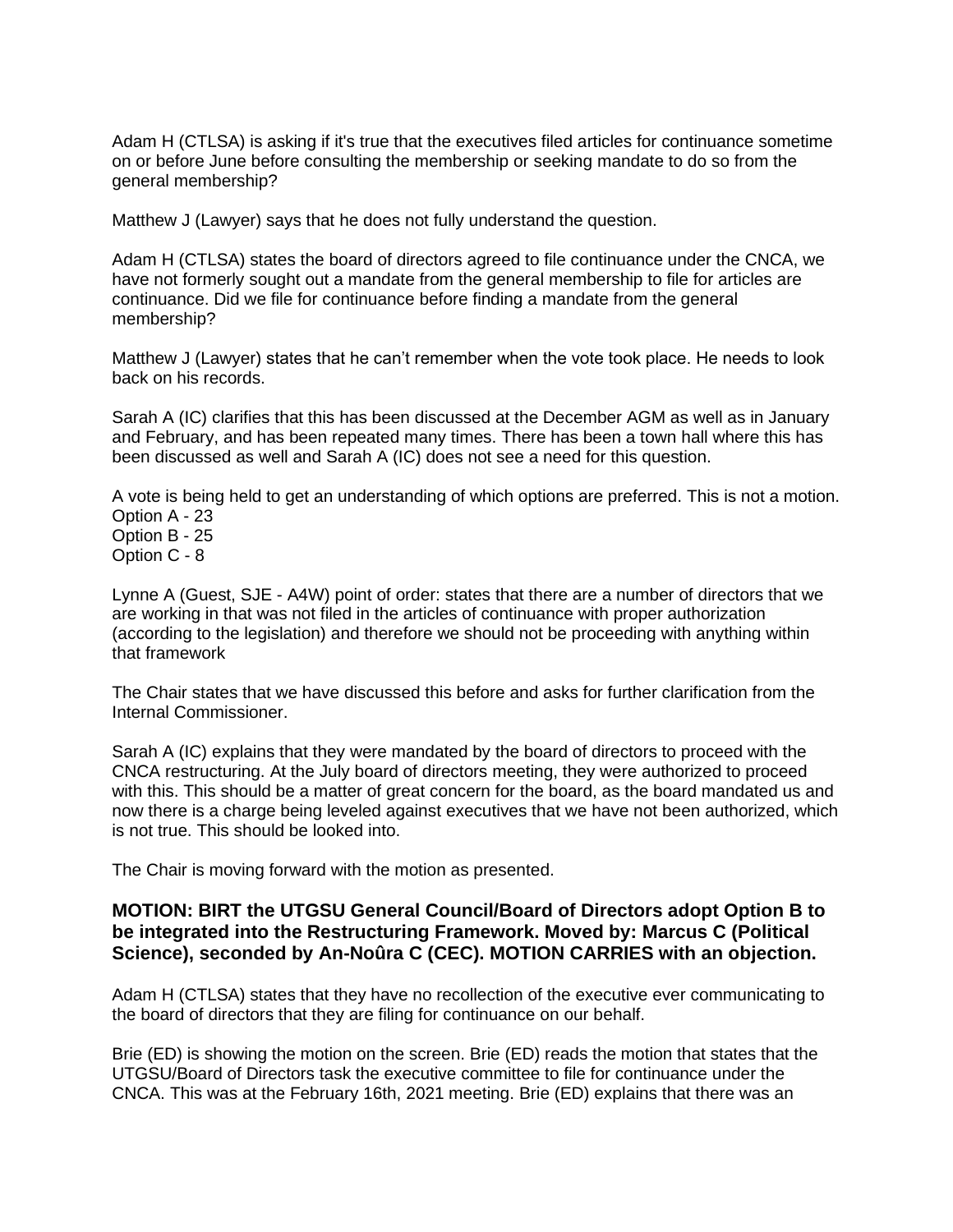Adam H (CTLSA) is asking if it's true that the executives filed articles for continuance sometime on or before June before consulting the membership or seeking mandate to do so from the general membership?

Matthew J (Lawyer) says that he does not fully understand the question.

Adam H (CTLSA) states the board of directors agreed to file continuance under the CNCA, we have not formerly sought out a mandate from the general membership to file for articles are continuance. Did we file for continuance before finding a mandate from the general membership?

Matthew J (Lawyer) states that he can't remember when the vote took place. He needs to look back on his records.

Sarah A (IC) clarifies that this has been discussed at the December AGM as well as in January and February, and has been repeated many times. There has been a town hall where this has been discussed as well and Sarah A (IC) does not see a need for this question.

A vote is being held to get an understanding of which options are preferred. This is not a motion. Option A - 23 Option B - 25

Option C - 8

Lynne A (Guest, SJE - A4W) point of order: states that there are a number of directors that we are working in that was not filed in the articles of continuance with proper authorization (according to the legislation) and therefore we should not be proceeding with anything within that framework

The Chair states that we have discussed this before and asks for further clarification from the Internal Commissioner.

Sarah A (IC) explains that they were mandated by the board of directors to proceed with the CNCA restructuring. At the July board of directors meeting, they were authorized to proceed with this. This should be a matter of great concern for the board, as the board mandated us and now there is a charge being leveled against executives that we have not been authorized, which is not true. This should be looked into.

The Chair is moving forward with the motion as presented.

### **MOTION: BIRT the UTGSU General Council/Board of Directors adopt Option B to be integrated into the Restructuring Framework. Moved by: Marcus C (Political Science), seconded by An-Noûra C (CEC). MOTION CARRIES with an objection.**

Adam H (CTLSA) states that they have no recollection of the executive ever communicating to the board of directors that they are filing for continuance on our behalf.

Brie (ED) is showing the motion on the screen. Brie (ED) reads the motion that states that the UTGSU/Board of Directors task the executive committee to file for continuance under the CNCA. This was at the February 16th, 2021 meeting. Brie (ED) explains that there was an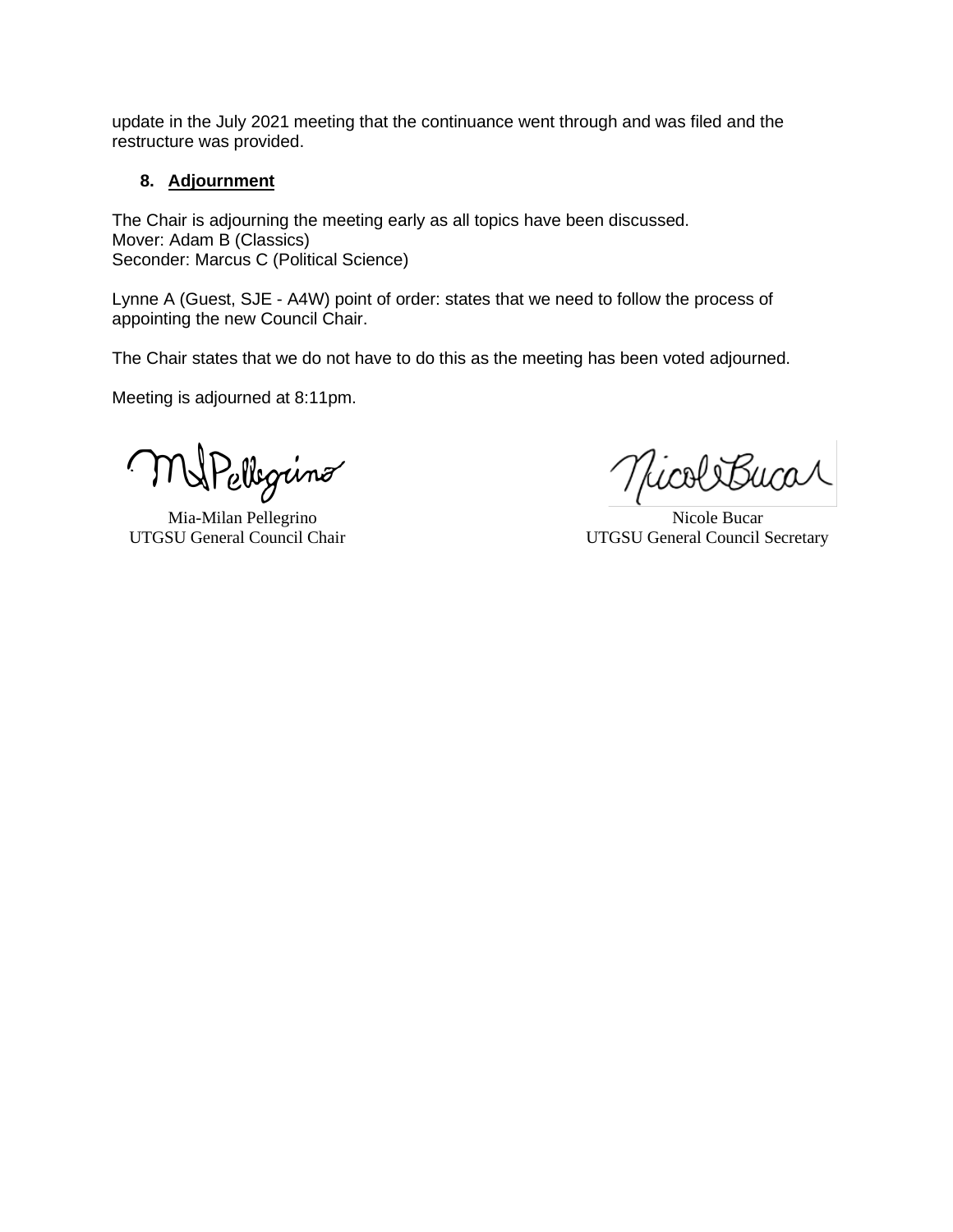update in the July 2021 meeting that the continuance went through and was filed and the restructure was provided.

#### **8. Adjournment**

The Chair is adjourning the meeting early as all topics have been discussed. Mover: Adam B (Classics) Seconder: Marcus C (Political Science)

Lynne A (Guest, SJE - A4W) point of order: states that we need to follow the process of appointing the new Council Chair.

The Chair states that we do not have to do this as the meeting has been voted adjourned.

Meeting is adjourned at 8:11pm.

WPellegring  $\zeta$ 

Mia-Milan Pellegrino **Nicole Bucar** Nicole Bucar

NicoliBucar

UTGSU General Council Chair UTGSU General Council Secretary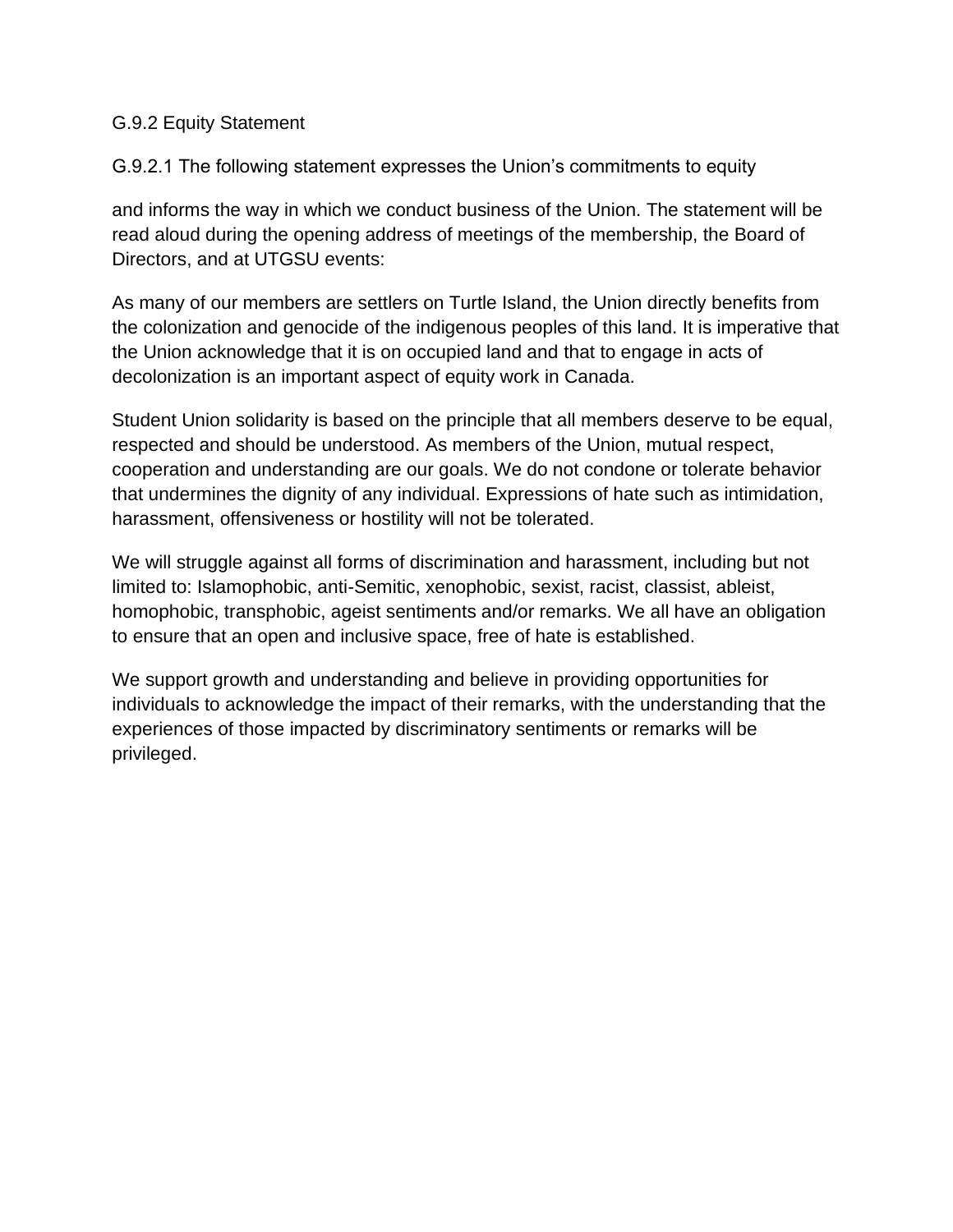# G.9.2 Equity Statement

G.9.2.1 The following statement expresses the Union's commitments to equity

and informs the way in which we conduct business of the Union. The statement will be read aloud during the opening address of meetings of the membership, the Board of Directors, and at UTGSU events:

As many of our members are settlers on Turtle Island, the Union directly benefits from the colonization and genocide of the indigenous peoples of this land. It is imperative that the Union acknowledge that it is on occupied land and that to engage in acts of decolonization is an important aspect of equity work in Canada.

Student Union solidarity is based on the principle that all members deserve to be equal, respected and should be understood. As members of the Union, mutual respect, cooperation and understanding are our goals. We do not condone or tolerate behavior that undermines the dignity of any individual. Expressions of hate such as intimidation, harassment, offensiveness or hostility will not be tolerated.

We will struggle against all forms of discrimination and harassment, including but not limited to: Islamophobic, anti-Semitic, xenophobic, sexist, racist, classist, ableist, homophobic, transphobic, ageist sentiments and/or remarks. We all have an obligation to ensure that an open and inclusive space, free of hate is established.

We support growth and understanding and believe in providing opportunities for individuals to acknowledge the impact of their remarks, with the understanding that the experiences of those impacted by discriminatory sentiments or remarks will be privileged.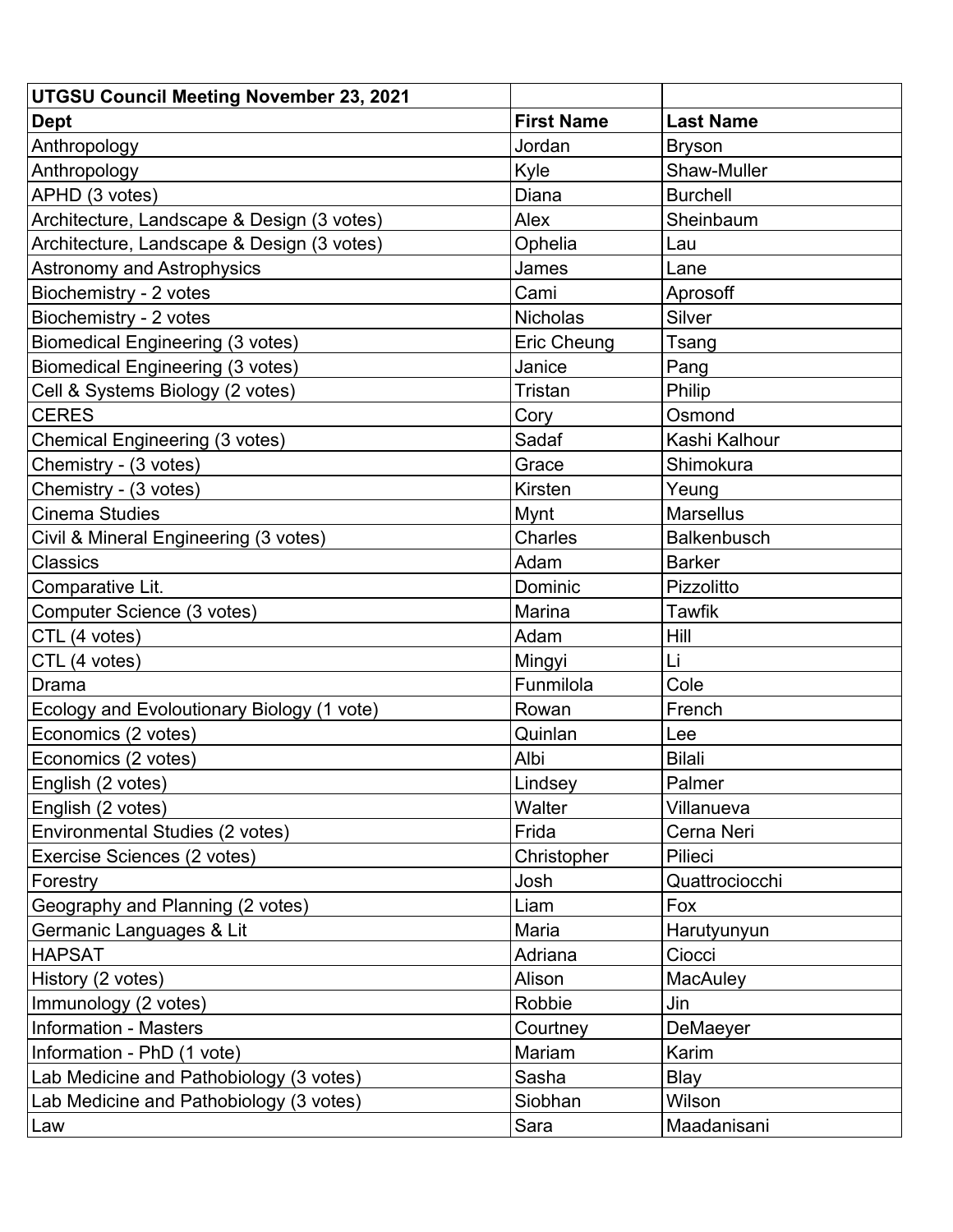| <b>UTGSU Council Meeting November 23, 2021</b> |                   |                  |
|------------------------------------------------|-------------------|------------------|
| <b>Dept</b>                                    | <b>First Name</b> | <b>Last Name</b> |
| Anthropology                                   | Jordan            | <b>Bryson</b>    |
| Anthropology                                   | Kyle              | Shaw-Muller      |
| APHD (3 votes)                                 | Diana             | <b>Burchell</b>  |
| Architecture, Landscape & Design (3 votes)     | Alex              | Sheinbaum        |
| Architecture, Landscape & Design (3 votes)     | Ophelia           | Lau              |
| <b>Astronomy and Astrophysics</b>              | James             | Lane             |
| Biochemistry - 2 votes                         | Cami              | Aprosoff         |
| Biochemistry - 2 votes                         | <b>Nicholas</b>   | <b>Silver</b>    |
| <b>Biomedical Engineering (3 votes)</b>        | Eric Cheung       | Tsang            |
| <b>Biomedical Engineering (3 votes)</b>        | Janice            | Pang             |
| Cell & Systems Biology (2 votes)               | Tristan           | Philip           |
| <b>CERES</b>                                   | Cory              | Osmond           |
| Chemical Engineering (3 votes)                 | Sadaf             | Kashi Kalhour    |
| Chemistry - (3 votes)                          | Grace             | Shimokura        |
| Chemistry - (3 votes)                          | Kirsten           | Yeung            |
| <b>Cinema Studies</b>                          | Mynt              | <b>Marsellus</b> |
| Civil & Mineral Engineering (3 votes)          | <b>Charles</b>    | Balkenbusch      |
| <b>Classics</b>                                | Adam              | <b>Barker</b>    |
| Comparative Lit.                               | Dominic           | Pizzolitto       |
| Computer Science (3 votes)                     | Marina            | <b>Tawfik</b>    |
| CTL (4 votes)                                  | Adam              | Hill             |
| CTL (4 votes)                                  | Mingyi            | Li               |
| Drama                                          | Funmilola         | Cole             |
| Ecology and Evoloutionary Biology (1 vote)     | Rowan             | French           |
| Economics (2 votes)                            | Quinlan           | Lee              |
| Economics (2 votes)                            | Albi              | <b>Bilali</b>    |
| English (2 votes)                              | Lindsey           | Palmer           |
| English (2 votes)                              | Walter            | Villanueva       |
| Environmental Studies (2 votes)                | Frida             | Cerna Neri       |
| Exercise Sciences (2 votes)                    | Christopher       | Pilieci          |
| Forestry                                       | Josh              | Quattrociocchi   |
| Geography and Planning (2 votes)               | Liam              | Fox              |
| Germanic Languages & Lit                       | Maria             | Harutyunyun      |
| <b>HAPSAT</b>                                  | Adriana           | Ciocci           |
| History (2 votes)                              | Alison            | MacAuley         |
| Immunology (2 votes)                           | Robbie            | Jin              |
| <b>Information - Masters</b>                   | Courtney          | DeMaeyer         |
| Information - PhD (1 vote)                     | Mariam            | Karim            |
| Lab Medicine and Pathobiology (3 votes)        | Sasha             | Blay             |
| Lab Medicine and Pathobiology (3 votes)        | Siobhan           | Wilson           |
| Law                                            | Sara              | Maadanisani      |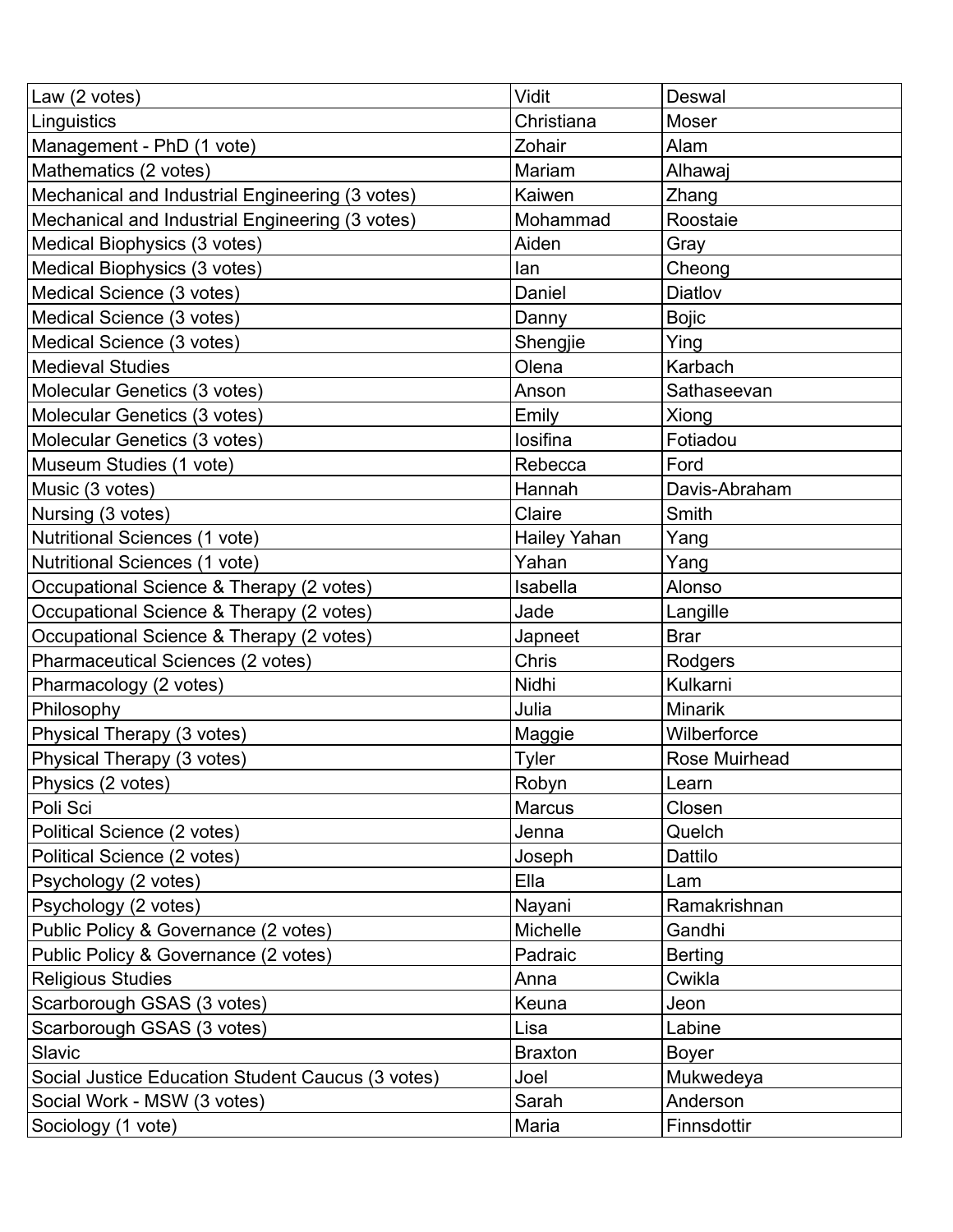| Law (2 votes)                                     | Vidit           | Deswal         |
|---------------------------------------------------|-----------------|----------------|
| Linguistics                                       | Christiana      | Moser          |
| Management - PhD (1 vote)                         | Zohair          | Alam           |
| Mathematics (2 votes)                             | Mariam          | Alhawaj        |
| Mechanical and Industrial Engineering (3 votes)   | Kaiwen          | Zhang          |
| Mechanical and Industrial Engineering (3 votes)   | Mohammad        | Roostaie       |
| Medical Biophysics (3 votes)                      | Aiden           | Gray           |
| Medical Biophysics (3 votes)                      | lan             | Cheong         |
| Medical Science (3 votes)                         | Daniel          | Diatlov        |
| Medical Science (3 votes)                         | Danny           | <b>Bojic</b>   |
| Medical Science (3 votes)                         | Shengjie        | Ying           |
| <b>Medieval Studies</b>                           | Olena           | Karbach        |
| Molecular Genetics (3 votes)                      | Anson           | Sathaseevan    |
| Molecular Genetics (3 votes)                      | Emily           | Xiong          |
| Molecular Genetics (3 votes)                      | losifina        | Fotiadou       |
| Museum Studies (1 vote)                           | Rebecca         | Ford           |
| Music (3 votes)                                   | Hannah          | Davis-Abraham  |
| Nursing (3 votes)                                 | Claire          | Smith          |
| Nutritional Sciences (1 vote)                     | Hailey Yahan    | Yang           |
| Nutritional Sciences (1 vote)                     | Yahan           | Yang           |
| Occupational Science & Therapy (2 votes)          | Isabella        | Alonso         |
| Occupational Science & Therapy (2 votes)          | Jade            | Langille       |
| Occupational Science & Therapy (2 votes)          | Japneet         | <b>Brar</b>    |
| Pharmaceutical Sciences (2 votes)                 | Chris           | Rodgers        |
| Pharmacology (2 votes)                            | Nidhi           | Kulkarni       |
| Philosophy                                        | Julia           | <b>Minarik</b> |
| Physical Therapy (3 votes)                        | Maggie          | Wilberforce    |
| Physical Therapy (3 votes)                        | Tyler           | Rose Muirhead  |
| Physics (2 votes)                                 | Robyn           | Learn          |
| Poli Sci                                          | <b>Marcus</b>   | Closen         |
| Political Science (2 votes)                       | Jenna           | Quelch         |
| Political Science (2 votes)                       | Joseph          | Dattilo        |
| Psychology (2 votes)                              | Ella            | Lam            |
| Psychology (2 votes)                              | Nayani          | Ramakrishnan   |
| Public Policy & Governance (2 votes)              | <b>Michelle</b> | Gandhi         |
| Public Policy & Governance (2 votes)              | Padraic         | <b>Berting</b> |
| <b>Religious Studies</b>                          | Anna            | Cwikla         |
| Scarborough GSAS (3 votes)                        | Keuna           | Jeon           |
| Scarborough GSAS (3 votes)                        | Lisa            | Labine         |
| Slavic                                            | <b>Braxton</b>  | <b>Boyer</b>   |
| Social Justice Education Student Caucus (3 votes) | Joel            | Mukwedeya      |
| Social Work - MSW (3 votes)                       | Sarah           | Anderson       |
| Sociology (1 vote)                                | Maria           | Finnsdottir    |